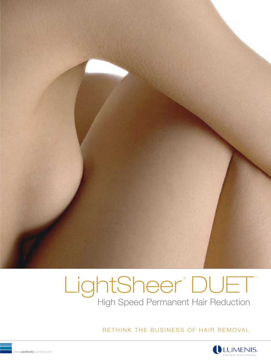

# LightSheer®DUET® High Speed Permanent Hair Reduction

RETHINK THE BUSINESS OF HAIR REMOVAL

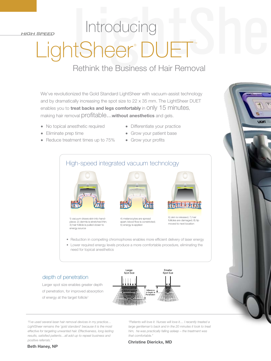*HIGH SPEED*

# LightSheer DUET DUET Introducing

# Rethink the Business of Hair Removal

We've revolutionized the Gold Standard LightSheer with vacuum-assist technology and by dramatically increasing the spot size to 22 x 35 mm. The LightSheer DUET enables you to **treat backs and legs comfortably** in only 15 minutes, making hair removal profitable...**without anesthetics** and gels.

- No topical anesthetic required
- Eliminate prep time
- Reduce treatment times up to 75%
- Differentiate your practice
- Grow your patient base
- Grow your profits

# High-speed integrated vacuum technology



1) vacuum draws skin into handpiece; 2) dermis is stretched thin; 3) hair follicle is pulled closer to energy source



4) melanocytes are spread apart; blood flow is constricted; 5) energy is applied



**JCNT** 

6) skin is released; 7) hair follicles are damaged; 8) tip moved to next location

- Reduction in competing chromophores enables more efficient delivery of laser energy
- Lower required energy levels produce a more comfortable procedure, eliminating the need for topical anesthetics

#### depth of penetration

Larger spot size enables greater depth of penetration, for improved absorption of energy at the target follicle<sup>1</sup>



*"I've used several laser hair removal devices in my practice… LightSheer remains the 'gold standard' because it is the most effective for targeting unwanted hair. Effectiveness, long lasting results, satisfied patients…all add up to repeat business and positive referrals."*

*"Patients will love it. Nurses will love it.... I recently treated a large gentleman's back and in the 20 minutes it took to treat him, he was practically falling asleep – the treatment was that comfortable."* 

**Christine Dierickx, MD**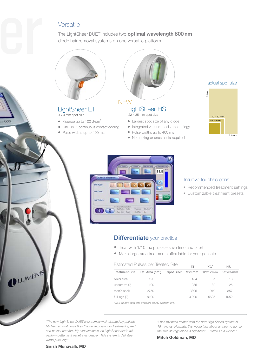## Versatile

The LightSheer DUET includes two **optimal wavelength 800 nm**  diode hair removal systems on one versatile platform.



#### LightSheer ET 9 x 9 mm spot size

**TATE!** 

ULUMENIS

- Fluence up to 100 J/cm<sup>2</sup>
- ChillTip™ continuous contact cooling
- Pulse widths up to 400 ms
- 

### LightSheer HS **NEW**

22 x 35 mm spot size

- Largest spot size of any diode
- Integrated vacuum-assist technology
- Pulse widths up to 400 ms
- No cooling or anesthesia required





#### Intuitive touchscreens

- Recommended treatment settings
- Customizable treatment presets

### **Differentiate** your practice

- Treat with 1/10 the pulses—save time and effort
- Make large-area treatments affordable for your patients

#### Estimated Pulses per Treated Site

|                       | LOTTITUCUL UIOCO DOL ITOQUOU OILO<br><b>FT</b> |  |        | $XC^*$                           | HS   |
|-----------------------|------------------------------------------------|--|--------|----------------------------------|------|
| <b>Treatment Site</b> | Est. Area (cm <sup>2</sup> )                   |  |        | Spot Size: 9x9mm 12x12mm 22x35mm |      |
| bikini area           | 125                                            |  | 154    | 87                               | 16   |
| underarm (2)          | 190                                            |  | 235    | 132                              | 25   |
| man's back            | 2750                                           |  | 3395   | 1910                             | 357  |
| full legs $(2)$       | 8100                                           |  | 10.000 | 5695                             | 1052 |

*\*12 x 12 mm spot size available on XC platform only*

*"The new LightSheer DUET is extremely well tolerated by patients. My hair removal nurse likes the single pulsing for treatment speed and patient comfort. My expectation is the LightSheer diode will perform better as it penetrates deeper...This system is definitely worth pursuing."* 

*"I had my back treated with the new High Speed system in 15 minutes. Normally, this would take about an hour to do, so the time savings alone is significant. ...I think it's a winner."*

**Mitch Goldman, MD**

**Girish Munavalli, MD**